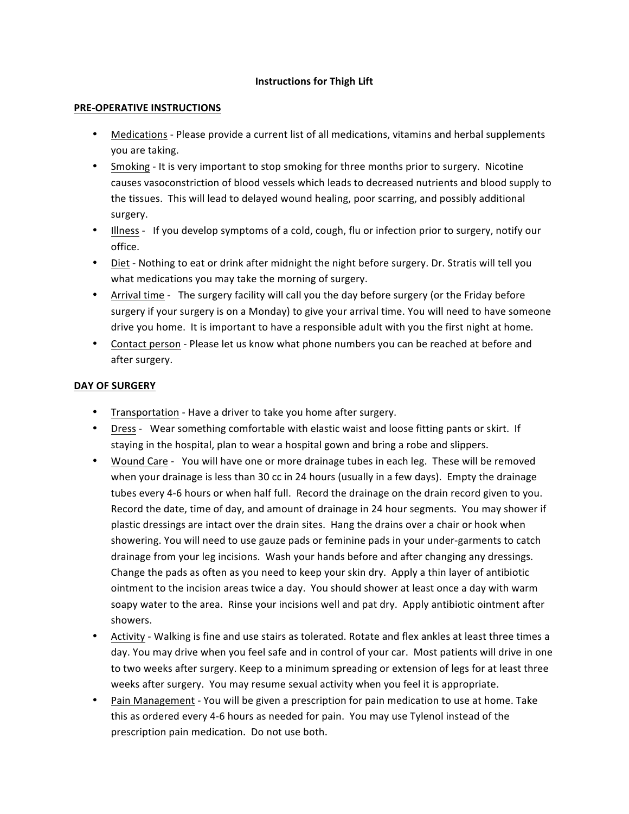## **Instructions for Thigh Lift**

## **PRE-OPERATIVE INSTRUCTIONS**

- Medications Please provide a current list of all medications, vitamins and herbal supplements you are taking.
- Smoking It is very important to stop smoking for three months prior to surgery. Nicotine causes vasoconstriction of blood vessels which leads to decreased nutrients and blood supply to the tissues. This will lead to delayed wound healing, poor scarring, and possibly additional surgery.
- Illness If you develop symptoms of a cold, cough, flu or infection prior to surgery, notify our office.
- Diet Nothing to eat or drink after midnight the night before surgery. Dr. Stratis will tell you what medications you may take the morning of surgery.
- Arrival time The surgery facility will call you the day before surgery (or the Friday before surgery if your surgery is on a Monday) to give your arrival time. You will need to have someone drive you home. It is important to have a responsible adult with you the first night at home.
- Contact person Please let us know what phone numbers you can be reached at before and after surgery.

## **DAY OF SURGERY**

- Transportation Have a driver to take you home after surgery.
- Dress Wear something comfortable with elastic waist and loose fitting pants or skirt. If staying in the hospital, plan to wear a hospital gown and bring a robe and slippers.
- Wound Care You will have one or more drainage tubes in each leg. These will be removed when your drainage is less than 30 cc in 24 hours (usually in a few days). Empty the drainage tubes every 4-6 hours or when half full. Record the drainage on the drain record given to you. Record the date, time of day, and amount of drainage in 24 hour segments. You may shower if plastic dressings are intact over the drain sites. Hang the drains over a chair or hook when showering. You will need to use gauze pads or feminine pads in your under-garments to catch drainage from your leg incisions. Wash your hands before and after changing any dressings. Change the pads as often as you need to keep your skin dry. Apply a thin layer of antibiotic ointment to the incision areas twice a day. You should shower at least once a day with warm soapy water to the area. Rinse your incisions well and pat dry. Apply antibiotic ointment after showers.
- Activity Walking is fine and use stairs as tolerated. Rotate and flex ankles at least three times a day. You may drive when you feel safe and in control of your car. Most patients will drive in one to two weeks after surgery. Keep to a minimum spreading or extension of legs for at least three weeks after surgery. You may resume sexual activity when you feel it is appropriate.
- Pain Management You will be given a prescription for pain medication to use at home. Take this as ordered every 4-6 hours as needed for pain. You may use Tylenol instead of the prescription pain medication. Do not use both.